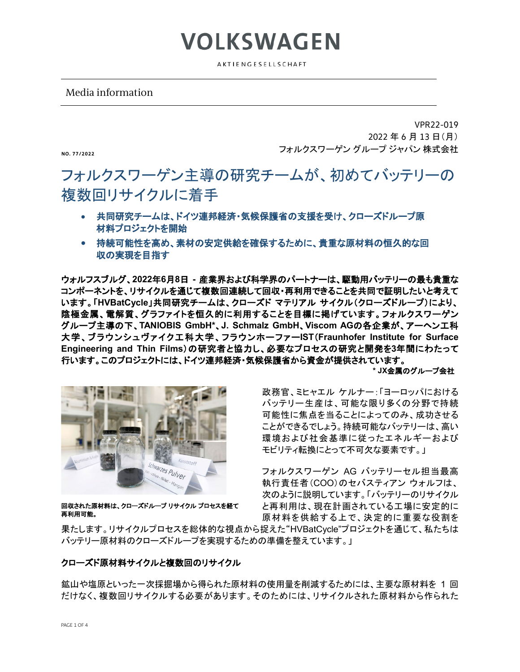AKTIENGESELLSCHAFT

**VOLKSWAGEN** 

### Media information

**NO. 77/2022**

VPR22-019 2022 年 6 月 13 日(月) フォルクスワーゲン グループ ジャパン 株式会社

## フォルクスワーゲン主導の研究チームが、初めてバッテリーの 複数回リサイクルに着手

- 共同研究チームは、ドイツ連邦経済・気候保護省の支援を受け、クローズドループ原 材料プロジェクトを開始
- 持続可能性を高め、素材の安定供給を確保するために、貴重な原材料の恒久的な回 収の実現を目指す

ウォルフスブルグ、**2022**年**6**月**8**日 **-** 産業界および科学界のパートナーは、駆動用バッテリーの最も貴重な コンポーネントを、リサイクルを通じて複数回連続して回収・再利用できることを共同で証明したいと考えて います。「**HVBatCycle**」共同研究チームは、クローズド マテリアル サイクル(クローズドループ)により、 陰極金属、電解質、グラファイトを恒久的に利用することを目標に掲げています。フォルクスワーゲン グループ主導の下、**TANIOBIS GmbH\***、**J. Schmalz GmbH**、**Viscom AG**の各企業が、アーヘン工科 大学、ブラウンシュヴァイク工科大学、フラウンホーファー**IST**(**Fraunhofer Institute for Surface Engineering and Thin Films**)の研究者と協力し、必要なプロセスの研究と開発を**3**年間にわたって 行います。このプロジェクトには、ドイツ連邦経済・気候保護省から資金が提供されています。

**\* JX**金属のグループ会社



回収された原材料は、クローズドループ リサイクル プロセスを経て 再利用可能。

政務官、ミヒャエル ケルナー:「ヨーロッパにおける バッテリー生産は、可能な限り多くの分野で持続 可能性に焦点を当ることによってのみ、成功させる ことができるでしょう。持続可能なバッテリーは、高い 環境および社会基準に従ったエネルギーおよび モビリティ転換にとって不可欠な要素です。」

フォルクスワーゲン AG バッテリーセル担当最高 執行責任者(COO)のセバスティアン ウォルフは、 次のように説明しています。「バッテリーのリサイクル と再利用は、現在計画されている工場に安定的に 原材料を供給する上で、決定的に重要な役割を

果たします。リサイクルプロセスを総体的な視点から捉えた"HVBatCycle"プロジェクトを通じて、私たちは バッテリー原材料のクローズドループを実現するための準備を整えています。」

#### クローズド原材料サイクルと複数回のリサイクル

鉱山や塩原といった一次採掘場から得られた原材料の使用量を削減するためには、主要な原材料を 1 回 だけなく、複数回リサイクルする必要があります。そのためには、リサイクルされた原材料から作られた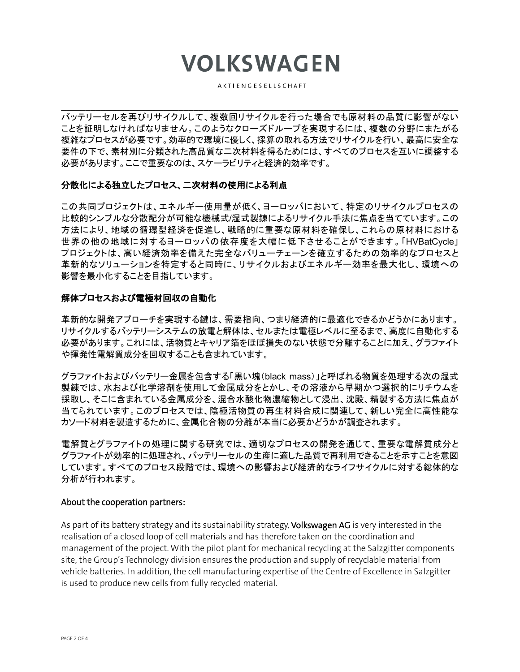# **VOLKSWAGEN**

AKTIENGESELLSCHAFT

 $\mathcal{L}_\mathcal{L} = \{ \mathcal{L}_\mathcal{L} = \{ \mathcal{L}_\mathcal{L} = \{ \mathcal{L}_\mathcal{L} = \{ \mathcal{L}_\mathcal{L} = \{ \mathcal{L}_\mathcal{L} = \{ \mathcal{L}_\mathcal{L} = \{ \mathcal{L}_\mathcal{L} = \{ \mathcal{L}_\mathcal{L} = \{ \mathcal{L}_\mathcal{L} = \{ \mathcal{L}_\mathcal{L} = \{ \mathcal{L}_\mathcal{L} = \{ \mathcal{L}_\mathcal{L} = \{ \mathcal{L}_\mathcal{L} = \{ \mathcal{L}_\mathcal{$ 

バッテリーセルを再びリサイクルして、複数回リサイクルを行った場合でも原材料の品質に影響がない ことを証明しなければなりません。このようなクローズドループを実現するには、複数の分野にまたがる 複雑なプロセスが必要です。効率的で環境に優しく、採算の取れる方法でリサイクルを行い、最高に安全な 要件の下で、素材別に分類された高品質な二次材料を得るためには、すべてのプロセスを互いに調整する 必要があります。ここで重要なのは、スケーラビリティと経済的効率です。

### 分散化による独立したプロセス、二次材料の使用による利点

この共同プロジェクトは、エネルギー使用量が低く、ヨーロッパにおいて、特定のリサイクルプロセスの 比較的シンプルな分散配分が可能な機械式/湿式製錬によるリサイクル手法に焦点を当てています。この 方法により、地域の循環型経済を促進し、戦略的に重要な原材料を確保し、これらの原材料における 世界の他の地域に対するヨーロッパの依存度を大幅に低下させることができます。「HVBatCycle」 プロジェクトは、高い経済効率を備えた完全なバリューチェーンを確立するための効率的なプロセスと 革新的なソリューションを特定すると同時に、リサイクルおよびエネルギー効率を最大化し、環境への 影響を最小化することを目指しています。

#### 解体プロセスおよび電極材回収の自動化

革新的な開発アプローチを実現する鍵は、需要指向、つまり経済的に最適化できるかどうかにあります。 リサイクルするバッテリーシステムの放電と解体は、セルまたは電極レベルに至るまで、高度に自動化する 必要があります。これには、活物質とキャリア箔をほぼ損失のない状態で分離することに加え、グラファイト や揮発性電解質成分を回収することも含まれています。

グラファイトおよびバッテリー金属を包含する「黒い塊(black mass)」と呼ばれる物質を処理する次の湿式 製錬では、水および化学溶剤を使用して金属成分をとかし、その溶液から早期かつ選択的にリチウムを 採取し、そこに含まれている金属成分を、混合水酸化物濃縮物として浸出、沈殿、精製する方法に焦点が 当てられています。このプロセスでは、陰極活物質の再生材料合成に関連して、新しい完全に高性能な カソード材料を製造するために、金属化合物の分離が本当に必要かどうかが調査されます。

電解質とグラファイトの処理に関する研究では、適切なプロセスの開発を通じて、重要な電解質成分と グラファイトが効率的に処理され、バッテリーセルの生産に適した品質で再利用できることを示すことを意図 しています。すべてのプロセス段階では、環境への影響および経済的なライフサイクルに対する総体的な 分析が行われます。

#### About the cooperation partners:

As part of its battery strategy and its sustainability strategy, Volkswagen AG is very interested in the realisation of a closed loop of cell materials and has therefore taken on the coordination and management of the project. With the pilot plant for mechanical recycling at the Salzgitter components site, the Group's Technology division ensures the production and supply of recyclable material from vehicle batteries. In addition, the cell manufacturing expertise of the Centre of Excellence in Salzgitter is used to produce new cells from fully recycled material.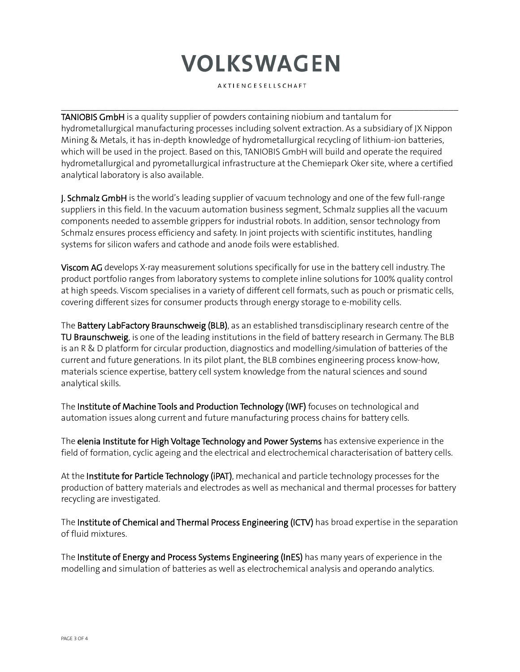# **VOLKSWAGEN**

AKTIENGESELLSCHAFT

 $\mathcal{L}_\mathcal{L} = \{ \mathcal{L}_\mathcal{L} = \{ \mathcal{L}_\mathcal{L} = \{ \mathcal{L}_\mathcal{L} = \{ \mathcal{L}_\mathcal{L} = \{ \mathcal{L}_\mathcal{L} = \{ \mathcal{L}_\mathcal{L} = \{ \mathcal{L}_\mathcal{L} = \{ \mathcal{L}_\mathcal{L} = \{ \mathcal{L}_\mathcal{L} = \{ \mathcal{L}_\mathcal{L} = \{ \mathcal{L}_\mathcal{L} = \{ \mathcal{L}_\mathcal{L} = \{ \mathcal{L}_\mathcal{L} = \{ \mathcal{L}_\mathcal{$ 

TANIOBIS GmbH is a quality supplier of powders containing niobium and tantalum for hydrometallurgical manufacturing processes including solvent extraction. As a subsidiary of JX Nippon Mining & Metals, it has in-depth knowledge of hydrometallurgical recycling of lithium-ion batteries, which will be used in the project. Based on this, TANIOBIS GmbH will build and operate the required hydrometallurgical and pyrometallurgical infrastructure at the Chemiepark Oker site, where a certified analytical laboratory is also available.

**J. Schmalz GmbH** is the world's leading supplier of vacuum technology and one of the few full-range suppliers in this field. In the vacuum automation business segment, Schmalz supplies all the vacuum components needed to assemble grippers for industrial robots. In addition, sensor technology from Schmalz ensures process efficiency and safety. In joint projects with scientific institutes, handling systems for silicon wafers and cathode and anode foils were established.

Viscom AG develops X-ray measurement solutions specifically for use in the battery cell industry. The product portfolio ranges from laboratory systems to complete inline solutions for 100% quality control at high speeds. Viscom specialises in a variety of different cell formats, such as pouch or prismatic cells, covering different sizes for consumer products through energy storage to e-mobility cells.

The Battery LabFactory Braunschweig (BLB), as an established transdisciplinary research centre of the TU Braunschweig, is one of the leading institutions in the field of battery research in Germany. The BLB is an R & D platform for circular production, diagnostics and modelling/simulation of batteries of the current and future generations. In its pilot plant, the BLB combines engineering process know-how, materials science expertise, battery cell system knowledge from the natural sciences and sound analytical skills.

The Institute of Machine Tools and Production Technology (IWF) focuses on technological and automation issues along current and future manufacturing process chains for battery cells.

The elenia Institute for High Voltage Technology and Power Systems has extensive experience in the field of formation, cyclic ageing and the electrical and electrochemical characterisation of battery cells.

At the Institute for Particle Technology (iPAT), mechanical and particle technology processes for the production of battery materials and electrodes as well as mechanical and thermal processes for battery recycling are investigated.

The Institute of Chemical and Thermal Process Engineering (ICTV) has broad expertise in the separation of fluid mixtures.

The Institute of Energy and Process Systems Engineering (InES) has many years of experience in the modelling and simulation of batteries as well as electrochemical analysis and operando analytics.